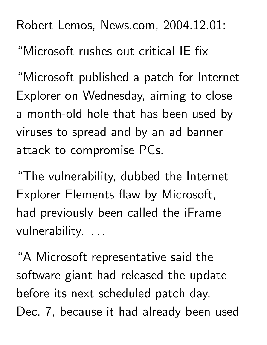Robert Lemos, News.com, 2004.12.01:

"Microsoft rushes out critical IE fix

"Microsoft published a patch for Internet Explorer on Wednesday, aiming to close a month-old hole that has been used by viruses to spread and by an ad banner attack to compromise PCs.

"The vulnerability, dubbed the Internet Explorer Elements flaw by Microsoft, had previously been called the iFrame vulnerability. . . .

"A Microsoft representative said the software giant had released the update before its next scheduled patch day, Dec. 7, because it had already been used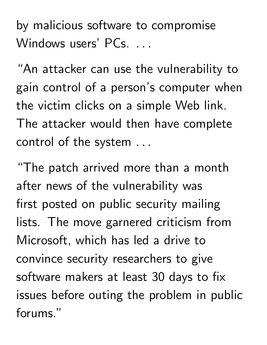by malicious software to compromise Windows users' PCs. ...

"An attacker can use the vulnerability to gain control of a person's computer when the victim clicks on a simple Web link. The attacker would then have complete control of the system

"The patch arrived more than a month after news of the vulnerability was first posted on public security mailing lists. The move garnered criticism from Microsoft, which has led a drive to convince security researchers to give software makers at least 30 days to fix issues before outing the problem in public forums."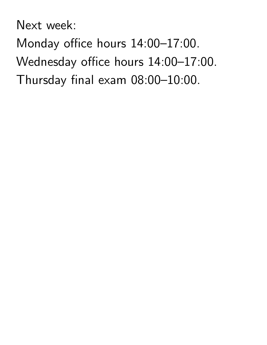Next week:

Monday office hours 14:00–17:00. Wednesday office hours 14:00–17:00. Thursday final exam 08:00–10:00.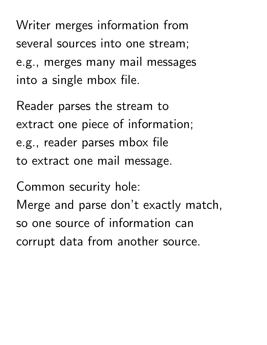Writer merges information from several sources into one stream; e.g., merges many mail messages into a single mbox file.

Reader parses the stream to extract one piece of information; e.g., reader parses mbox file to extract one mail message.

Common security hole: Merge and parse don't exactly match, so one source of information can corrupt data from another source.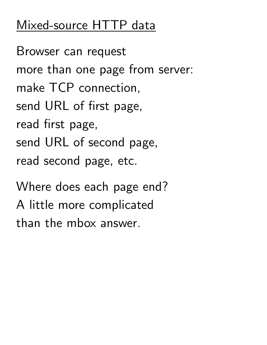# Mixed-source HTTP data

Browser can request more than one page from server: make TCP connection, send URL of first page, read first page, send URL of second page, read second page, etc.

Where does each page end? A little more complicated than the mbox answer.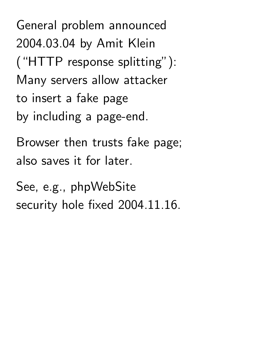General problem announced 2004.03.04 by Amit Klein ("HTTP response splitting"): Many servers allow attacker to insert a fake page by including a page-end.

Browser then trusts fake page; also saves it for later.

See, e.g., phpWebSite security hole fixed 2004.11.16.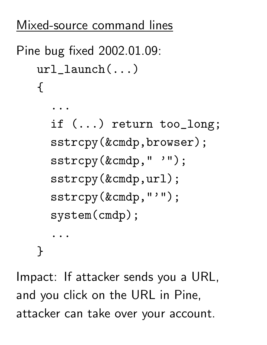#### Mixed-source command lines

```
Pine bug fixed 2002.01.09:
url_launch(...)
{
```
...

if (...) return too\_long; sstrcpy(&cmdp,browser); sstrcpy(&cmdp,")"); sstrcpy(&cmdp,url); sstrcpy(&cmdp,"'"); system(cmdp); ...

}

Impact: If attacker sends you a URL, and you click on the URL in Pine, attacker can take over your account.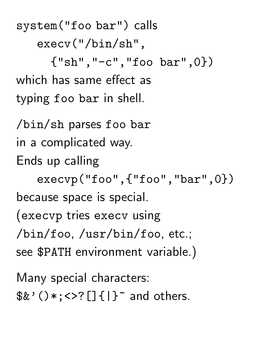system("foo bar") calls execv("/bin/sh",  ${``\sh", "-c", "foo bar", 0})$ which has same effect as typing foo bar in shell.

/bin/sh parses foo bar in a complicated way. Ends up calling execvp("foo",{"foo","bar",0}) because space is special. (execvp tries execv using /bin/foo, /usr/bin/foo, etc.; see \$PATH environment variable.)

Many special characters:  $$&'()*:&;&;[]{}[] {\dagger}$  and others.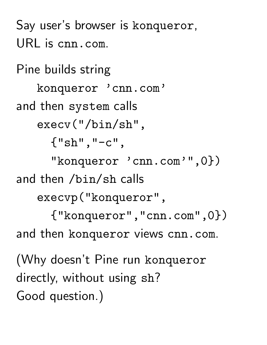Say user's browser is konqueror, URL is cnn.com.

Pine builds string konqueror 'cnn.com' and then system calls execv("/bin/sh",  ${^{\{\{''}\}Sh''}$ ,  $^{\{\prime\prime}-c''}$ , "konqueror 'cnn.com'", 0}) and then /bin/sh calls execvp("konqueror", {"konqueror","cnn.com",0}) and then konqueror views cnn.com. (Why doesn't Pine run konqueror directly, without using sh? Good question.)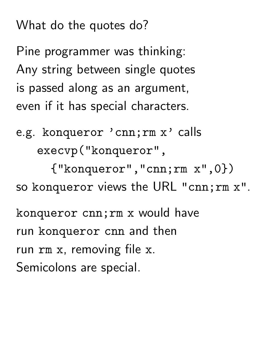What do the quotes do?

Pine programmer was thinking: Any string between single quotes is passed along as an argument, even if it has special characters.

e.g. konqueror 'cnn;rm x' calls execvp("konqueror",

{"konqueror","cnn;rm x",0}) so konqueror views the URL "cnn;rm x".

konqueror cnn;rm x would have run konqueror cnn and then run rm x, removing file x. Semicolons are special.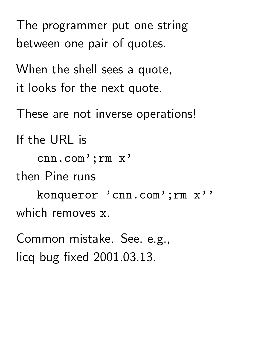The programmer put one string between one pair of quotes.

When the shell sees a quote, it looks for the next quote.

These are not inverse operations!

If the URL is

cnn.com';rm x'

then Pine runs

konqueror 'cnn.com';rm x'' which removes x.

Common mistake. See, e.g., licq bug fixed 2001.03.13.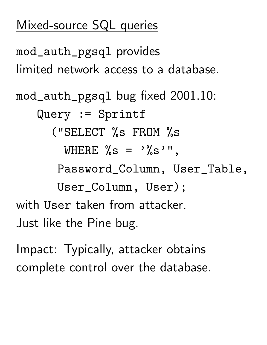## Mixed-source SQL queries

mod\_auth\_pgsql provides limited network access to a database. mod\_auth\_pgsql bug fixed 2001.10: Query := Sprintf ("SELECT %s FROM %s WHERE  $\%s = \frac{1}{5}$   $\%s'$  ", Password\_Column, User\_Table, User\_Column, User); with User taken from attacker. Just like the Pine bug.

Impact: Typically, attacker obtains complete control over the database.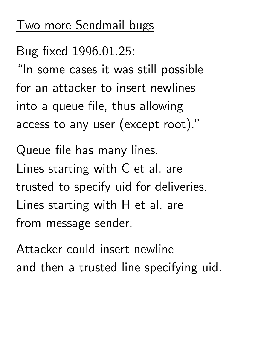#### Two more Sendmail bugs

Bug fixed 1996.01.25:

"In some cases it was still possible for an attacker to insert newlines into a queue file, thus allowing access to any user (except root)."

Queue file has many lines. Lines starting with C et al. are trusted to specify uid for deliveries. Lines starting with H et al. are from message sender.

Attacker could insert newline and then a trusted line specifying uid.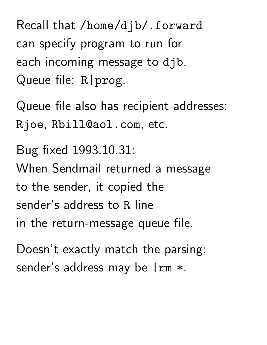Recall that /home/djb/.forward can specify program to run for each incoming message to djb. Queue file: R | prog.

Queue file also has recipient addresses: Rjoe, Rbill@aol.com, etc.

Bug fixed 1993.10.31: When Sendmail returned a message to the sender, it copied the sender's address to R line in the return-message queue file.

Doesn't exactly match the parsing: sender's address may be  $\mathsf{I} \text{rm} *$ .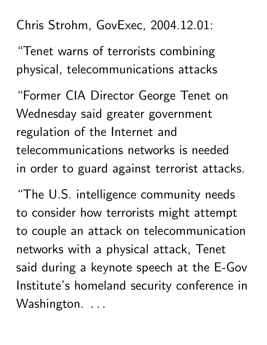## Chris Strohm, GovExec, 2004.12.01:

"Tenet warns of terrorists combining physical, telecommunications attacks

"Former CIA Director George Tenet on Wednesday said greater government regulation of the Internet and telecommunications networks is needed in order to guard against terrorist attacks.

"The U.S. intelligence community needs to consider how terrorists might attempt to couple an attack on telecommunication networks with a physical attack, Tenet said during a keynote speech at the E-Gov Institute's homeland security conference in Washington. ...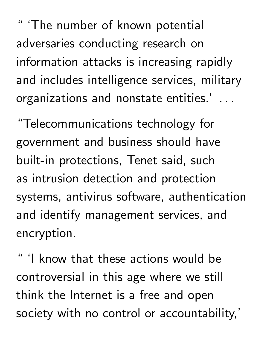" 'The number of known potential adversaries conducting research on information attacks is increasing rapidly and includes intelligence services, military organizations and nonstate entities.'

"Telecommunications technology for government and business should have built-in protections, Tenet said, such as intrusion detection and protection systems, antivirus software, authentication and identify management services, and encryption.

'I know that these actions would be controversial in this age where we still think the Internet is a free and open society with no control or accountability,'